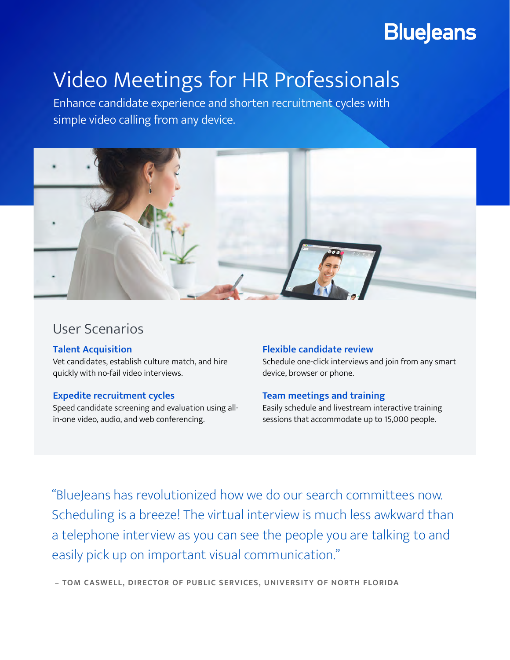## **BlueJeans**

# Video Meetings for HR Professionals

Enhance candidate experience and shorten recruitment cycles with simple video calling from any device.



### User Scenarios

#### **Talent Acquisition**

Vet candidates, establish culture match, and hire quickly with no-fail video interviews.

#### **Expedite recruitment cycles**

Speed candidate screening and evaluation using allin-one video, audio, and web conferencing.

#### **Flexible candidate review**

Schedule one-click interviews and join from any smart device, browser or phone.

#### **Team meetings and training**

Easily schedule and livestream interactive training sessions that accommodate up to 15,000 people.

"BlueJeans has revolutionized how we do our search committees now. Scheduling is a breeze! The virtual interview is much less awkward than a telephone interview as you can see the people you are talking to and easily pick up on important visual communication."

 **– TOM CASWELL, DIRECTOR OF PUBLIC SERVICES, UNIVERSITY OF NORTH FLORIDA**